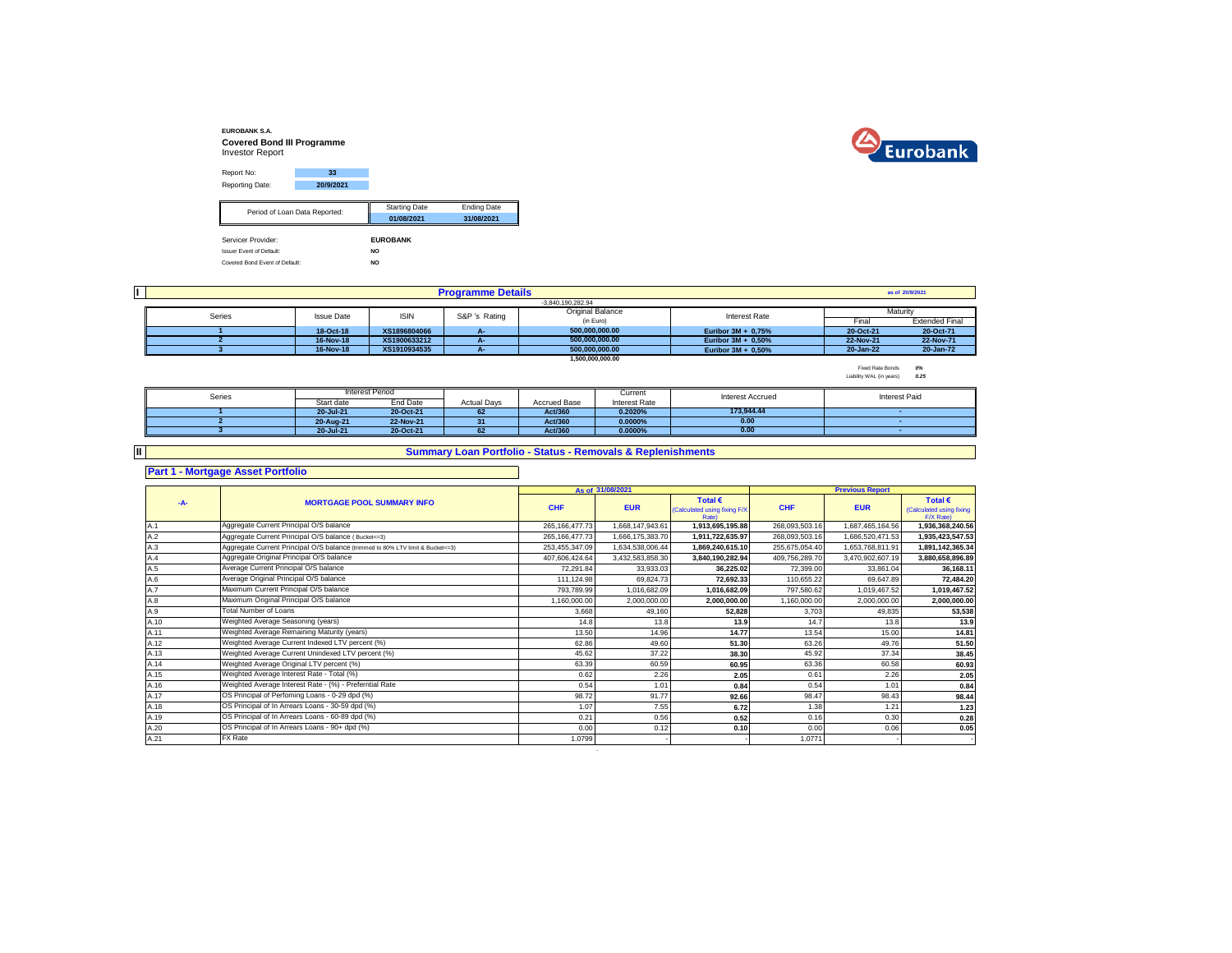



| Report No:                      | 33                             |                      |                    |
|---------------------------------|--------------------------------|----------------------|--------------------|
| Reporting Date:                 | 20/9/2021                      |                      |                    |
|                                 |                                | <b>Starting Date</b> | <b>Ending Date</b> |
|                                 | Period of Loan Data Reported:  | 01/08/2021           | 31/08/2021         |
| Servicer Provider:              |                                | <b>EUROBANK</b>      |                    |
| <b>Issuer Event of Default:</b> |                                | NO.                  |                    |
|                                 | Covered Bond Event of Default: | <b>NO</b>            |                    |

| II. |        |                   |              | <b>Programme Details</b> |                         |                       |           | as of 20/9/2021       |
|-----|--------|-------------------|--------------|--------------------------|-------------------------|-----------------------|-----------|-----------------------|
|     |        |                   |              |                          | -3.840.190.282.94       |                       |           |                       |
|     | Series | <b>Issue Date</b> | <b>ISIN</b>  | S&P 's Rating            | <b>Original Balance</b> | Interest Rate         |           | Maturity              |
|     |        |                   |              |                          | (in Euro)               |                       | Fina      | <b>Extended Final</b> |
|     |        | 18-Oct-18         | XS1896804066 | А-                       | 500.000.000.00          | Euribor $3M + 0.75%$  | 20-Oct-21 | 20-Oct-71             |
|     |        | 16-Nov-18         | XS1900633212 |                          | 500.000.000.00          | Euribor $3M + 0.50\%$ | 22-Nov-21 | 22-Nov-71             |
|     |        | 16-Nov-18         | XS1910934535 |                          | 500.000.000.00          | Euribor $3M + 0.50\%$ | 20-Jan-22 | 20-Jan-72             |
|     |        |                   |              |                          | 1.500.000.000.00        |                       |           |                       |

Fixed Rate Bonds *0%* Liability WAL (in years) *0.25*

| Series |            | Interest Period |                    |              | Current       | <b>Interest Accrued</b> | Interest Paid |
|--------|------------|-----------------|--------------------|--------------|---------------|-------------------------|---------------|
|        | Start date | End Date        | <b>Actual Days</b> | Accrued Base | Interest Rate |                         |               |
|        | 20-Jul-21  | 20-Oct-21       | 62                 | Act/360      | 0.2020%       | 173.944.44              |               |
|        | 20-Aug-21  | 22-Nov-21       | 31                 | Act/360      | $0.0000\%$    | 0.00                    |               |
|        | 20-Jul-21  | 20-Oct-21       | 62                 | Act/360      | 0.0000%       | 0.00                    |               |

**II**

## **Summary Loan Portfolio - Status - Removals & Replenishments**

**Part 1 - Mortgage Asset Portfolio**

|      |                                                                                  |                   | As of 31/08/2021 |                                                                  |                | <b>Previous Report</b> |                                                           |
|------|----------------------------------------------------------------------------------|-------------------|------------------|------------------------------------------------------------------|----------------|------------------------|-----------------------------------------------------------|
| -A-  | <b>MORTGAGE POOL SUMMARY INFO</b>                                                | <b>CHF</b>        | <b>EUR</b>       | Total $\epsilon$<br>(Calculated using fixing F/X<br><b>Rate)</b> | <b>CHF</b>     | <b>EUR</b>             | Total $\epsilon$<br>(Calculated using fixing<br>F/X Rate) |
| A.1  | Aggregate Current Principal O/S balance                                          | 265.166.477.73    | 1,668,147,943.61 | 1,913,695,195.88                                                 | 268.093.503.16 | 1.687.465.164.56       | 1,936,368,240.56                                          |
| A.2  | Aggregate Current Principal O/S balance (Bucket<=3)                              | 265, 166, 477. 73 | 1,666,175,383.70 | 1,911,722,635.97                                                 | 268,093,503.16 | 1,686,520,471.53       | 1,935,423,547.53                                          |
| A.3  | Aggregate Current Principal O/S balance (trimmed to 80% LTV limit & Bucket <= 3) | 253,455,347.09    | 1,634,538,006.44 | 1,869,240,615.10                                                 | 255,675,054.40 | 1,653,768,811.91       | 1,891,142,365.34                                          |
| A.4  | Aggregate Original Principal O/S balance                                         | 407,606,424.64    | 3,432,583,858.30 | 3,840,190,282.94                                                 | 409,756,289.70 | 3,470,902,607.19       | 3,880,658,896.89                                          |
| A.5  | Average Current Principal O/S balance                                            | 72.291.84         | 33,933.03        | 36,225.02                                                        | 72,399.00      | 33,861.04              | 36,168.11                                                 |
| A.6  | Average Original Principal O/S balance                                           | 111,124.98        | 69,824.73        | 72.692.33                                                        | 110,655.22     | 69.647.89              | 72,484.20                                                 |
| A.7  | Maximum Current Principal O/S balance                                            | 793.789.99        | 1,016,682.09     | 1,016,682.09                                                     | 797,580.62     | 1,019,467.52           | 1,019,467.52                                              |
| A.8  | Maximum Original Principal O/S balance                                           | 1,160,000.00      | 2,000,000.00     | 2,000,000.00                                                     | 1,160,000.00   | 2,000,000.00           | 2,000,000.00                                              |
| A.9  | <b>Total Number of Loans</b>                                                     | 3,668             | 49,160           | 52,828                                                           | 3,703          | 49,835                 | 53,538                                                    |
| A.10 | Weighted Average Seasoning (years)                                               | 14.8              | 13.8             | 13.9                                                             | 14.7           | 13.8                   | 13.9                                                      |
| A.11 | Weighted Average Remaining Maturity (years)                                      | 13.50             | 14.96            | 14.77                                                            | 13.54          | 15.00                  | 14.81                                                     |
| A.12 | Weighted Average Current Indexed LTV percent (%)                                 | 62.86             | 49.60            | 51.30                                                            | 63.26          | 49.76                  | 51.50                                                     |
| A.13 | Weighted Average Current Unindexed LTV percent (%)                               | 45.62             | 37.22            | 38.30                                                            | 45.92          | 37.34                  | 38.45                                                     |
| A.14 | Weighted Average Original LTV percent (%)                                        | 63.39             | 60.59            | 60.95                                                            | 63.36          | 60.58                  | 60.93                                                     |
| A.15 | Weighted Average Interest Rate - Total (%)                                       | 0.62              | 2.26             | 2.05                                                             | 0.61           | 2.26                   | 2.05                                                      |
| A.16 | Weighted Average Interest Rate - (%) - Preferntial Rate                          | 0.54              | 1.01             | 0.84                                                             | 0.54           | 1.01                   | 0.84                                                      |
| A.17 | OS Principal of Perfoming Loans - 0-29 dpd (%)                                   | 98.72             | 91.77            | 92.66                                                            | 98.47          | 98.43                  | 98.44                                                     |
| A.18 | OS Principal of In Arrears Loans - 30-59 dpd (%)                                 | 1.07              | 7.55             | 6.72                                                             | 1.38           | 1.21                   | 1.23                                                      |
| A.19 | OS Principal of In Arrears Loans - 60-89 dpd (%)                                 | 0.21              | 0.56             | 0.52                                                             | 0.16           | 0.30                   | 0.28                                                      |
| A.20 | OS Principal of In Arrears Loans - 90+ dpd (%)                                   | 0.00              | 0.12             | 0.10                                                             | 0.00           | 0.06                   | 0.05                                                      |
| A.21 | FX Rate                                                                          | 1.0799            |                  |                                                                  | 1.0771         |                        |                                                           |

.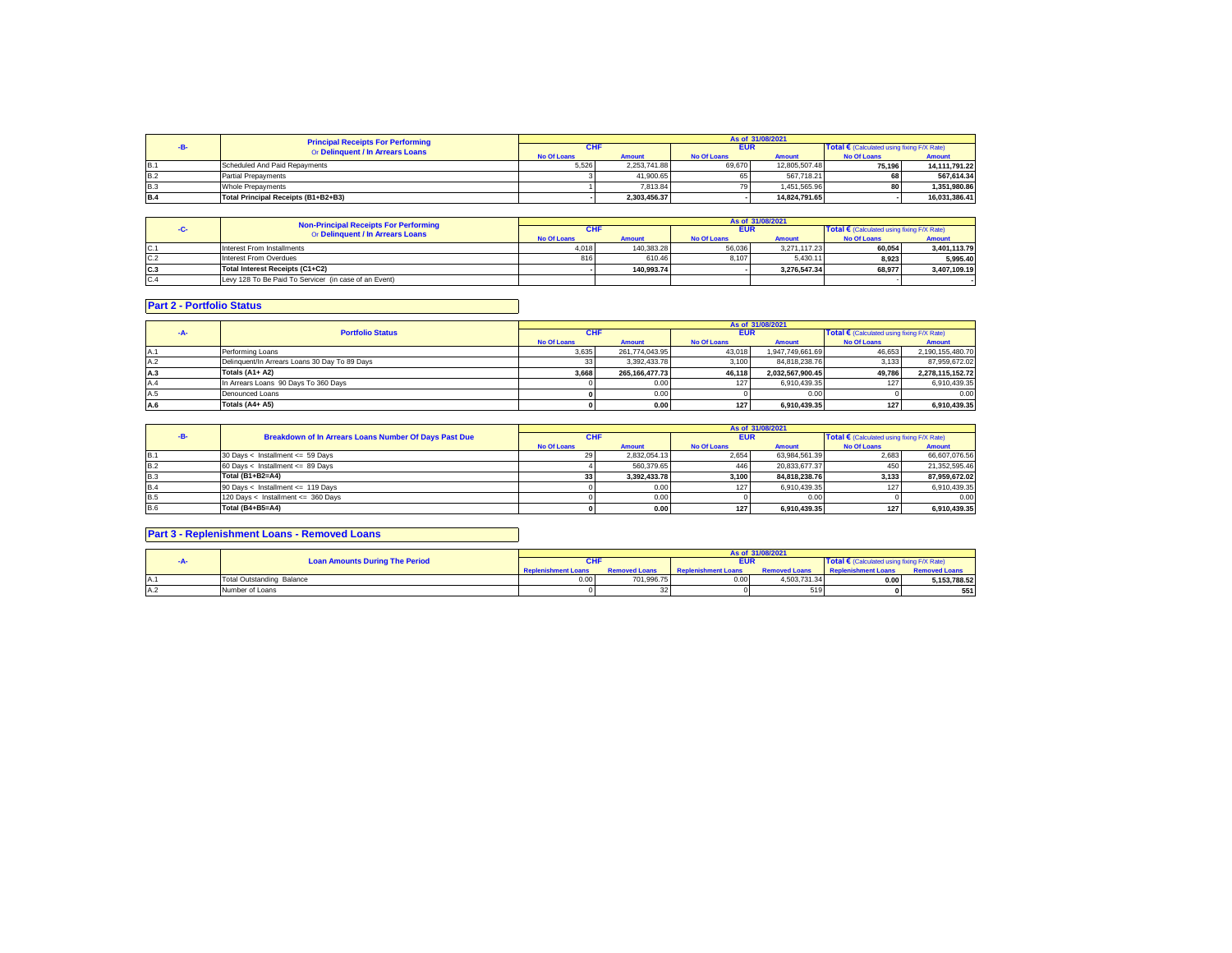|            | <b>Principal Receipts For Performing</b> |                    |               |                    | As of 31/08/2021 |                                                     |               |
|------------|------------------------------------------|--------------------|---------------|--------------------|------------------|-----------------------------------------------------|---------------|
|            | Or Delinquent / In Arrears Loans         | CHI                |               | <b>EUR</b>         |                  | Total $\epsilon$ (Calculated using fixing F/X Rate) |               |
|            |                                          | <b>No Of Loans</b> | <b>Amount</b> | <b>No Of Loans</b> | <b>Amount</b>    | <b>No Of Loans</b>                                  | <b>Amount</b> |
| <b>B.1</b> | Scheduled And Paid Repayments            | 5.526              | 2.253.741.88  | 69,670             | 12.805.507.48    | 75.196                                              | 14,111,791.22 |
| <b>B.2</b> | <b>Partial Prepayments</b>               |                    | 41.900.65     |                    | 567.718.21       | 68                                                  | 567.614.34    |
| B.3        | Whole Prepayments                        |                    | 7.813.84      |                    | 1.451.565.96     | 80                                                  | 1.351.980.86  |
| <b>B.4</b> | Total Principal Receipts (B1+B2+B3)      |                    | 2.303.456.37  |                    | 14.824.791.65    |                                                     | 16,031,386.41 |

|      | <b>Non-Principal Receipts For Performing</b>          |                    |               |                    | As of 31/08/2021 |                                                     |               |
|------|-------------------------------------------------------|--------------------|---------------|--------------------|------------------|-----------------------------------------------------|---------------|
|      | Or Delinquent / In Arrears Loans                      | <b>CHF</b>         |               | <b>EUR</b>         |                  | Total $\epsilon$ (Calculated using fixing F/X Rate) |               |
|      |                                                       | <b>No Of Loans</b> | <b>Amount</b> | <b>No Of Loans</b> | <b>Amount</b>    | <b>No Of Loans</b>                                  | <b>Amount</b> |
| IC.1 | Interest From Installments                            | 4.018              | 140.383.28    | 56,036             | 3.271.117.23     | 60.054                                              | 3.401.113.79  |
| C.2  | Interest From Overdues                                |                    | 610.46        | 8.107              | 5.430.11         | 8.923                                               | 5.995.40      |
| IC.3 | Total Interest Receipts (C1+C2)                       |                    | 140.993.74    |                    | 3.276.547.34     | 68.977                                              | 3.407.109.19  |
| C.4  | Levy 128 To Be Paid To Servicer (in case of an Event) |                    |               |                    |                  |                                                     |               |

## **Part 2 - Portfolio Status**

|      |                                               |                    |                |                    | As of 31/08/2021 |                                            |                  |
|------|-----------------------------------------------|--------------------|----------------|--------------------|------------------|--------------------------------------------|------------------|
|      | <b>Portfolio Status</b>                       | <b>CHF</b>         |                | <b>EUR</b>         |                  | Total € (Calculated using fixing F/X Rate) |                  |
|      |                                               | <b>No Of Loans</b> | <b>Amount</b>  | <b>No Of Loans</b> | <b>Amount</b>    | <b>No Of Loans</b>                         | <b>Amount</b>    |
| IA.1 | Performing Loans                              | 3.635              | 261.774.043.95 | 43.018             | 1.947.749.661.69 | 46.653                                     | 2.190.155.480.70 |
| A.2  | Delinquent/In Arrears Loans 30 Day To 89 Days |                    | 3.392.433.78   | 3.100              | 84.818.238.76    | 3.133                                      | 87,959,672.02    |
| A.3  | Totals (A1+ A2)                               | 3.668              | 265.166.477.73 | 46.118             | 2.032.567.900.45 | 49.786                                     | 2,278,115,152.72 |
| A.4  | In Arrears Loans 90 Days To 360 Days          |                    | 0.00           |                    | 6.910.439.35     | 127                                        | 6,910,439.35     |
| A.5  | Denounced Loans                               |                    | 0.00           |                    | 0.00             |                                            | 0.00             |
| A.6  | Totals (A4+ A5)                               |                    | 0.00           | 127                | 6.910.439.35     | 127                                        | 6.910.439.35     |

|            |                                                       |                    |               |                    | As of 31/08/2021 |                                                     |               |
|------------|-------------------------------------------------------|--------------------|---------------|--------------------|------------------|-----------------------------------------------------|---------------|
|            | Breakdown of In Arrears Loans Number Of Days Past Due | <b>CHF</b>         |               | <b>EUR</b>         |                  | Total $\epsilon$ (Calculated using fixing F/X Rate) |               |
|            |                                                       | <b>No Of Loans</b> | <b>Amount</b> | <b>No Of Loans</b> | <b>Amount</b>    | <b>No Of Loans</b>                                  | <b>Amount</b> |
| <b>B.1</b> | 30 Days < Installment <= 59 Days                      |                    | 2.832.054.13  | 2.654              | 63.984.561.39    | 2.683                                               | 66.607.076.56 |
| <b>B.2</b> | 60 Days < Installment <= 89 Days                      |                    | 560.379.65    | 446                | 20.833.677.37    | 450                                                 | 21.352.595.46 |
| B.3        | Total (B1+B2=A4)                                      | 33                 | 3.392.433.78  | 3.100              | 84.818.238.76    | 3.133                                               | 87.959.672.02 |
| B.4        | 90 Days < Installment <= 119 Days                     |                    | 0.00          | 127                | 6.910.439.35     |                                                     | 6.910.439.35  |
| <b>B.5</b> | 120 Days < Installment <= 360 Days                    |                    | 0.00          |                    | 0.00             |                                                     | 0.00          |
| <b>B.6</b> | Total (B4+B5=A4)                                      |                    | 0.00          | 1271               | 6.910.439.35     | 127                                                 | 6.910.439.35  |

## **Part 3 - Replenishment Loans - Removed Loans**

|                                       |                            |                      |                            | As of 31/08/2021     |                                                     |                      |
|---------------------------------------|----------------------------|----------------------|----------------------------|----------------------|-----------------------------------------------------|----------------------|
| <b>Loan Amounts During The Period</b> |                            |                      | <b>EUR</b>                 |                      | Total $\epsilon$ (Calculated using fixing F/X Rate) |                      |
|                                       | <b>Replenishment Loans</b> | <b>Removed Loans</b> | <b>Replenishment Loans</b> | <b>Removed Loans</b> | <b>Replenishment Loans</b>                          | <b>Removed Loans</b> |
| Total Outstanding Balance             | 0.00                       | 701.996.75           | 0.00                       | 4.503.731.34         | 0.00                                                | 5.153.788.52         |
| Number of Loans                       |                            | -32                  |                            | 519                  |                                                     | 551                  |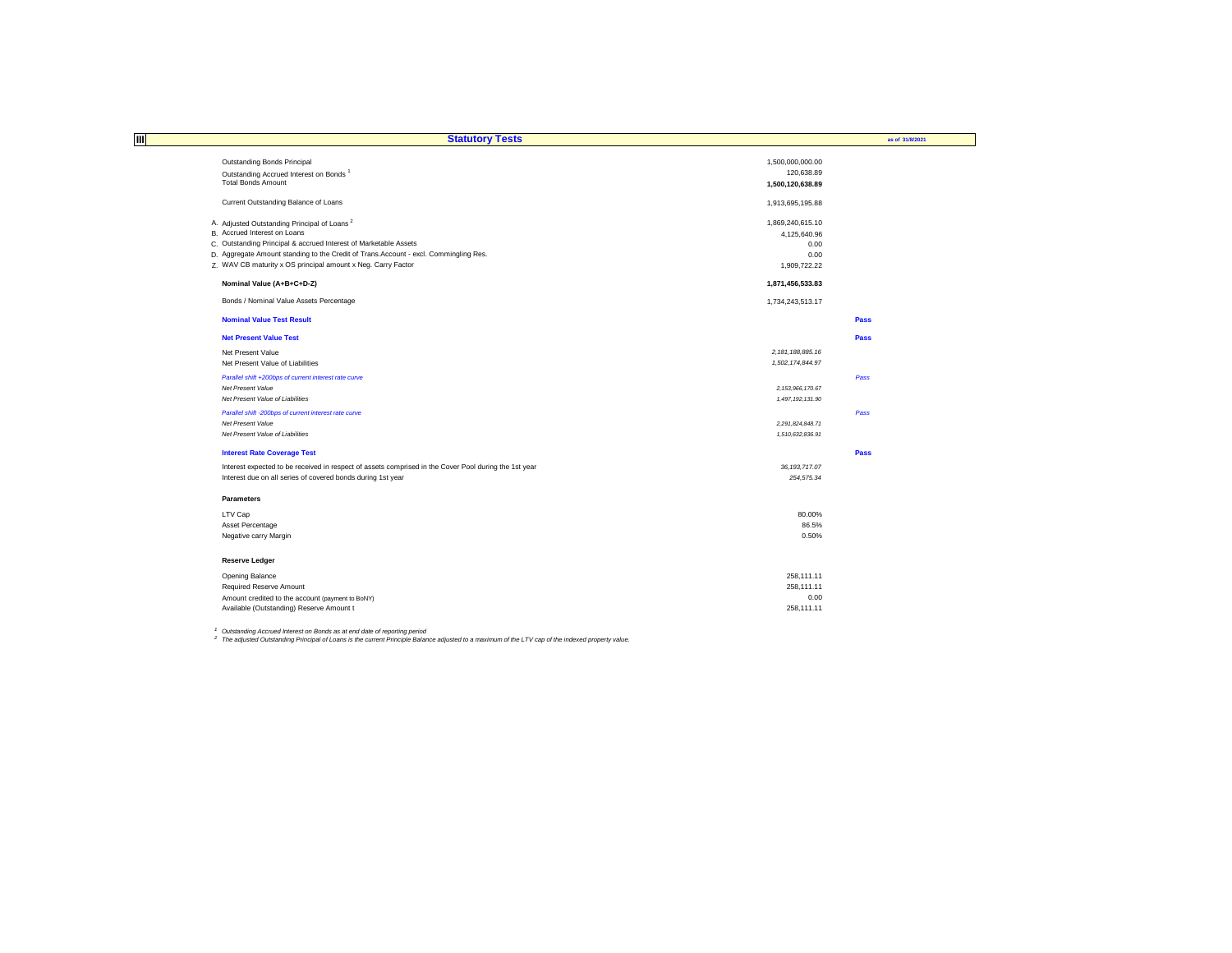| ШI<br><b>Statutory Tests</b>                                                                          |                      | as of 31/8/2021 |
|-------------------------------------------------------------------------------------------------------|----------------------|-----------------|
|                                                                                                       |                      |                 |
| Outstanding Bonds Principal                                                                           | 1,500,000,000.00     |                 |
| Outstanding Accrued Interest on Bonds <sup>1</sup>                                                    | 120,638.89           |                 |
| <b>Total Bonds Amount</b>                                                                             | 1,500,120,638.89     |                 |
| Current Outstanding Balance of Loans                                                                  | 1,913,695,195.88     |                 |
| A. Adjusted Outstanding Principal of Loans <sup>2</sup>                                               | 1,869,240,615.10     |                 |
| B. Accrued Interest on Loans                                                                          | 4,125,640.96         |                 |
| C. Outstanding Principal & accrued Interest of Marketable Assets                                      | 0.00                 |                 |
| D. Aggregate Amount standing to the Credit of Trans.Account - excl. Commingling Res.                  | 0.00                 |                 |
| Z. WAV CB maturity x OS principal amount x Neg. Carry Factor                                          | 1,909,722.22         |                 |
| Nominal Value (A+B+C+D-Z)                                                                             | 1,871,456,533.83     |                 |
| Bonds / Nominal Value Assets Percentage                                                               | 1,734,243,513.17     |                 |
| <b>Nominal Value Test Result</b>                                                                      |                      | Pass            |
| <b>Net Present Value Test</b>                                                                         |                      | Pass            |
| Net Present Value                                                                                     | 2, 181, 188, 885. 16 |                 |
| Net Present Value of Liabilities                                                                      | 1,502,174,844.97     |                 |
| Parallel shift +200bps of current interest rate curve                                                 |                      | Pass            |
| Net Present Value                                                                                     | 2, 153, 966, 170.67  |                 |
| Net Present Value of Liabilities                                                                      | 1,497,192,131.90     |                 |
| Parallel shift -200bps of current interest rate curve                                                 |                      | Pass            |
| Net Present Value                                                                                     | 2,291,824,848.71     |                 |
| Net Present Value of Liabilities                                                                      | 1,510,632,836.91     |                 |
| <b>Interest Rate Coverage Test</b>                                                                    |                      | Pass            |
| Interest expected to be received in respect of assets comprised in the Cover Pool during the 1st year | 36, 193, 717.07      |                 |
| Interest due on all series of covered bonds during 1st year                                           | 254,575.34           |                 |
| <b>Parameters</b>                                                                                     |                      |                 |
| LTV Cap                                                                                               | 80.00%               |                 |
| Asset Percentage                                                                                      | 86.5%                |                 |
| Negative carry Margin                                                                                 | 0.50%                |                 |
| <b>Reserve Ledger</b>                                                                                 |                      |                 |
| Opening Balance                                                                                       | 258.111.11           |                 |
| Required Reserve Amount                                                                               | 258,111.11           |                 |
| Amount credited to the account (payment to BoNY)                                                      | 0.00                 |                 |
| Available (Outstanding) Reserve Amount t                                                              | 258.111.11           |                 |

<sup>1</sup> Outstanding Accrued Interest on Bonds as at end date of reporting period<br><sup>2</sup> The adjusted Outstanding Principal of Loans is the current Principle Balance adjusted to a maximum of the LTV cap of the indexed property val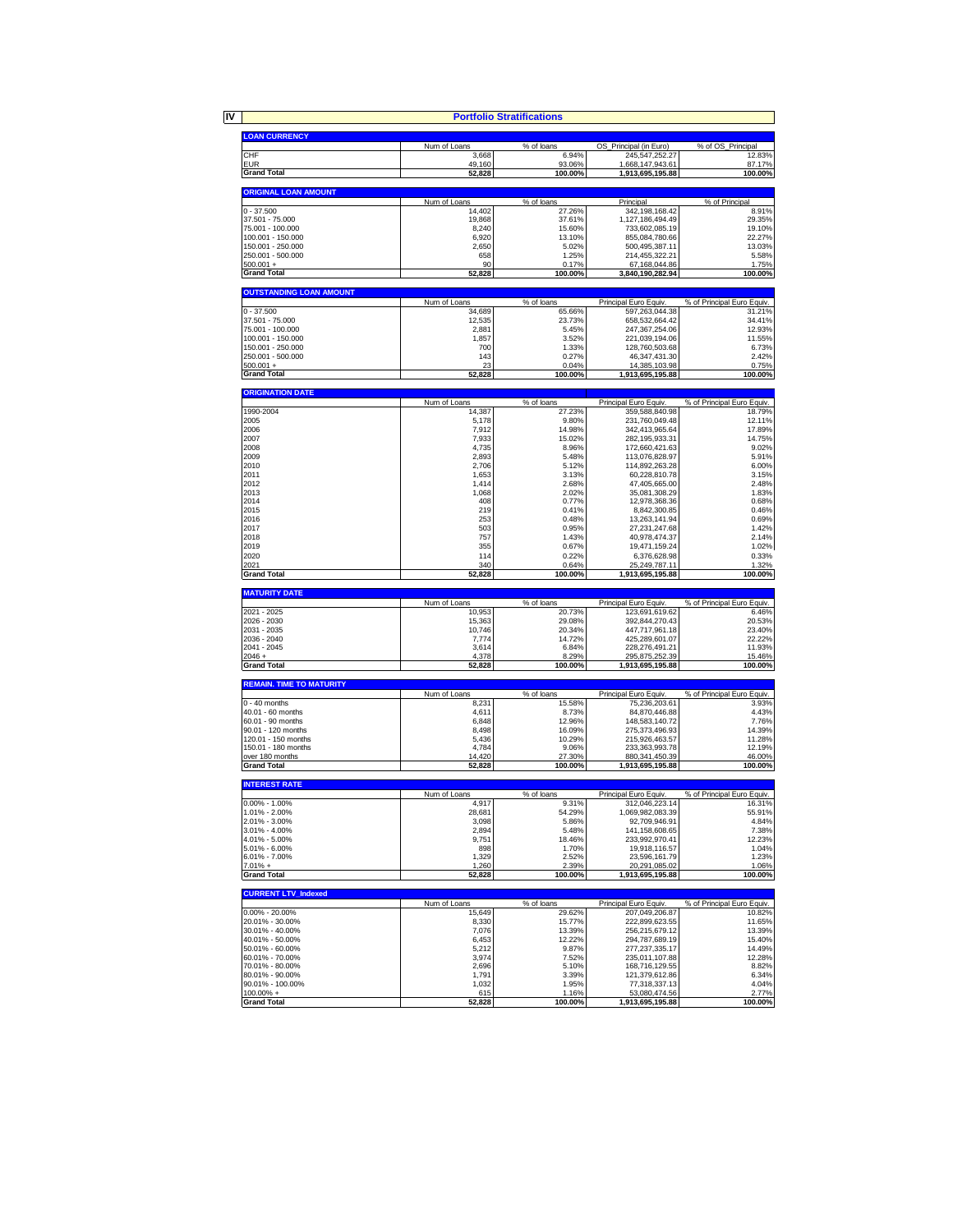|                                        |                        | <b>Portfolio Stratifications</b> |                                         |                                      |
|----------------------------------------|------------------------|----------------------------------|-----------------------------------------|--------------------------------------|
| <b>LOAN CURRENCY</b>                   |                        |                                  |                                         |                                      |
|                                        | Num of Loans           | % of loans                       | OS_Principal (in Euro)                  | % of OS_Principal                    |
| CHF                                    | 3,668                  | 6.94%                            | 245,547,252.27                          | 12.83%                               |
| <b>EUR</b>                             | 49,160                 | 93.06%                           | 1,668,147,943.61                        | 87.17%                               |
| <b>Grand Total</b>                     | 52,828                 | 100.00%                          | 1,913,695,195.88                        | 100.00%                              |
| <b>ORIGINAL LOAN AMOUNT</b>            |                        |                                  |                                         |                                      |
| $0 - 37.500$                           | Num of Loans           | % of loans                       | Principal                               | % of Principal                       |
| 37.501 - 75.000                        | 14,402<br>19,868       | 27.26%<br>37.61%                 | 342, 198, 168.42<br>1,127,186,494.49    | 8.91%<br>29.35%                      |
| 75.001 - 100.000                       | 8,240                  | 15.60%                           | 733,602,085.19                          | 19.10%                               |
| 100.001 - 150.000                      | 6,920                  | 13.10%                           | 855,084,780.66                          | 22.27%                               |
| 150.001 - 250.000                      | 2,650                  | 5.02%                            | 500,495,387.11                          | 13.03%                               |
| 250.001 - 500.000                      | 658<br>90              | 1.25%                            | 214,455,322.21                          | 5.58%                                |
| $500.001 +$<br><b>Grand Total</b>      | 52,828                 | 0.17%<br>100.00%                 | 67,168,044.86<br>3,840,190,282.94       | 1.75%<br>100.00%                     |
|                                        |                        |                                  |                                         |                                      |
| <b>OUTSTANDING LOAN AMOUNT</b>         |                        |                                  |                                         |                                      |
| $0 - 37.500$                           | Num of Loans<br>34,689 | % of loans<br>65.66%             | Principal Euro Equiv.<br>597,263,044.38 | % of Principal Euro Equiv.<br>31.21% |
| 37.501 - 75.000                        | 12.535                 | 23.73%                           | 658,532,664.42                          | 34.41%                               |
| 75.001 - 100.000                       | 2.881                  | 5 4 5%                           | 247, 367, 254.06                        | 12.93%                               |
| 100.001 - 150.000                      | 1,857                  | 3.52%                            | 221,039,194.06                          | 11.55%                               |
| 150.001 - 250.000<br>250.001 - 500.000 | <b>700</b><br>143      | 1.33%<br>0.27%                   | 128,760,503.68<br>46,347,431.30         | 6.73%<br>2.42%                       |
| $500.001 +$                            | 23                     | 0.04%                            | 14,385,103.98                           | 0.75%                                |
| <b>Grand Total</b>                     | 52,828                 | 100.00%                          | 1,913,695,195.88                        | 100.00%                              |
| <b>ORIGINATION DATE</b>                |                        |                                  |                                         |                                      |
|                                        | Num of Loans           | % of loans                       | Principal Euro Equiv.                   | % of Principal Euro Equiv.           |
| 1990-2004                              | 14,387                 | 27.23%                           | 359,588,840.98                          | 18.79%                               |
| 2005                                   | 5,178                  | 9.80%                            | 231,760,049.48                          | 12.11%                               |
| 2006<br>2007                           | 7,912<br>7,933         | 14.98%<br>15.02%                 | 342,413,965.64<br>282.195.933.31        | 17.89%<br>14.75%                     |
| 2008                                   | 4,735                  | 8.96%                            | 172,660,421.63                          | 9.02%                                |
| 2009                                   | 2,893                  | 5.48%                            | 113,076,828.97                          | 5.91%                                |
| 2010                                   | 2,706                  | 5.12%                            | 114,892,263.28                          | 6.00%                                |
| 2011                                   | 1,653                  | 3.13%                            | 60,228,810.78                           | 3.15%                                |
| 2012                                   | 1,414                  | 2.68%                            | 47,405,665.00                           | 2.48%                                |
| 2013                                   | 1,068                  | 2.02%                            | 35.081.308.29                           | 1.83%                                |
| 2014<br>2015                           | 408<br>219             | 0.77%<br>0.41%                   | 12,978,368.36<br>8,842,300.85           | 0.68%<br>0.46%                       |
| 2016                                   | 253                    | 0.48%                            | 13,263,141.94                           | 0.69%                                |
| 2017                                   | 503                    | 0.95%                            | 27,231,247.68                           | 1.42%                                |
| 2018                                   | 757                    | 1.43%                            | 40,978,474.37                           | 2.14%                                |
| 2019                                   | 355                    | 0.67%                            | 19,471,159.24                           | 1.02%                                |
| 2020                                   | 114                    | 0.22%                            | 6,376,628.98                            | 0.33%                                |
| 2021<br><b>Grand Total</b>             | 340<br>52,828          | 0.64%<br>100.00%                 | 25,249,787.11<br>1,913,695,195.88       | 1.32%<br>100.00%                     |
|                                        |                        |                                  |                                         |                                      |
| <b>MATURITY DATE</b>                   | Num of Loans           | % of loans                       | Principal Euro Equiv.                   | % of Principal Euro Equiv.           |
| 2021 - 2025                            | 10,953                 | 20.73%                           | 123,691,619.62                          | 6.46%                                |
| 2026 - 2030                            | 15,363                 | 29.08%                           | 392,844,270.43                          | 20.53%                               |
| 2031 - 2035                            | 10,746                 | 20.34%                           | 447,717,961.18                          | 23.40%                               |
| 2036 - 2040<br>2041 - 2045             | 7,774<br>3,614         | 14.72%<br>6.84%                  | 425,289,601.07<br>228,276,491.21        | 22.22%<br>11.93%                     |
| $2046 +$                               | 4,378                  | 8.29%                            | 295,875,252.39                          | 15.46%                               |
| <b>Grand Total</b>                     | 52,828                 | 100.00%                          | 1,913,695,195.88                        | 100.00%                              |
| <b>REMAIN. TIME TO MATURITY</b>        |                        |                                  |                                         |                                      |
|                                        | Num of Loans           | % of loans                       | Principal Euro Equiv.                   | % of Principal Euro Equiv.           |
| $0 - 40$ months                        | 8,231                  | 15.58%                           | 75,236,203.61                           | 3.93%                                |
| 40.01 - 60 months<br>60.01 - 90 months | 4,611<br>6,848         | 8.73%<br>12.96%                  | 84,870,446.88<br>148,583,140.72         | 4.43%<br>7.76%                       |
| 90.01 - 120 months                     | 8,498                  | 16.09%                           | 275,373,496.93                          | 14.39%                               |
| 120.01 - 150 months                    | 5,436                  | 10.29%                           | 215,926,463.57                          | 11.28%                               |
| 150.01 - 180 months                    | 4,784                  | 9.06%                            | 233,363,993.78                          | 12.19%                               |
| over 180 months                        | 14,420                 | 27.30%                           | 880, 341, 450. 39                       | 46.00%                               |
| <b>Grand Total</b>                     | 52,828                 | 100.00%                          | 1,913,695,195.88                        | 100.00%                              |
| <b>INTEREST RATE</b>                   |                        |                                  |                                         |                                      |
| $0.00\% - 1.00\%$                      | Num of Loans           | % of loans                       | Principal Euro Equiv.<br>312 046 223    | % of Principal Euro Equiv.<br>16.31% |
| 1.01% - 2.00%                          | 28.681                 | 54.29%                           | 1,069,982,083.39                        | 55.91%                               |
| 2.01% - 3.00%                          | 3,098                  | 5.86%                            | 92,709,946.91                           | 4.84%                                |
| $3.01\% - 4.00\%$                      | 2,894                  | 5.48%                            | 141,158,608.65                          | 7.38%                                |
| 4.01% - 5.00%                          | 9,751<br>898           | 18.46%                           | 233,992,970.41                          | 12.23%                               |
| 5.01% - 6.00%<br>6.01% - 7.00%         | 1,329                  | 1.70%<br>2.52%                   | 19,918,116.57<br>23,596,161.79          | 1.04%<br>1.23%                       |
| $7.01% +$                              | 1,260                  | 2.39%                            | 20,291,085.02                           | 1.06%                                |
| <b>Grand Total</b>                     | 52,828                 | 100.00%                          | 1,913,695,195.88                        | 100.00%                              |
| <b>CURRENT LTV Indexed</b>             |                        |                                  |                                         |                                      |
|                                        | Num of Loans           | % of loans                       | Principal Euro Equiv.                   | % of Principal Euro Equiv.           |
| $0.00\% - 20.00\%$                     | 15,649                 | 29.62%                           | 207.049.206.87                          | 10.82%                               |
| 20.01% - 30.00%<br>30.01% - 40.00%     | 8,330<br>7,076         | 15.77%<br>13.39%                 | 222.899.623.55<br>256,215,679.12        | 11.65%<br>13.39%                     |
| 40.01% - 50.00%                        | 6,453                  | 12.22%                           | 294,787,689.19                          | 15.40%                               |
| 50.01% - 60.00%                        | 5,212                  | 9.87%                            | 277, 237, 335.17                        | 14.49%                               |
| 60.01% - 70.00%                        | 3,974                  | 7.52%                            | 235.011.107.88                          | 12.28%                               |
| 70.01% - 80.00%                        | 2,696                  | 5.10%                            | 168,716,129.55                          | 8.82%                                |
| 80.01% - 90.00%<br>90.01% - 100.00%    | 1,791<br>1,032         | 3.39%<br>1.95%                   | 121,379,612.86<br>77,318,337.13         | 6.34%<br>4.04%                       |
| $100.00\% +$                           | 615                    | 1.16%                            | 53,080,474.56                           | 2.77%                                |
| <b>Grand Total</b>                     | 52,828                 | 100.00%                          | 1,913,695,195.88                        | 100.00%                              |
|                                        |                        |                                  |                                         |                                      |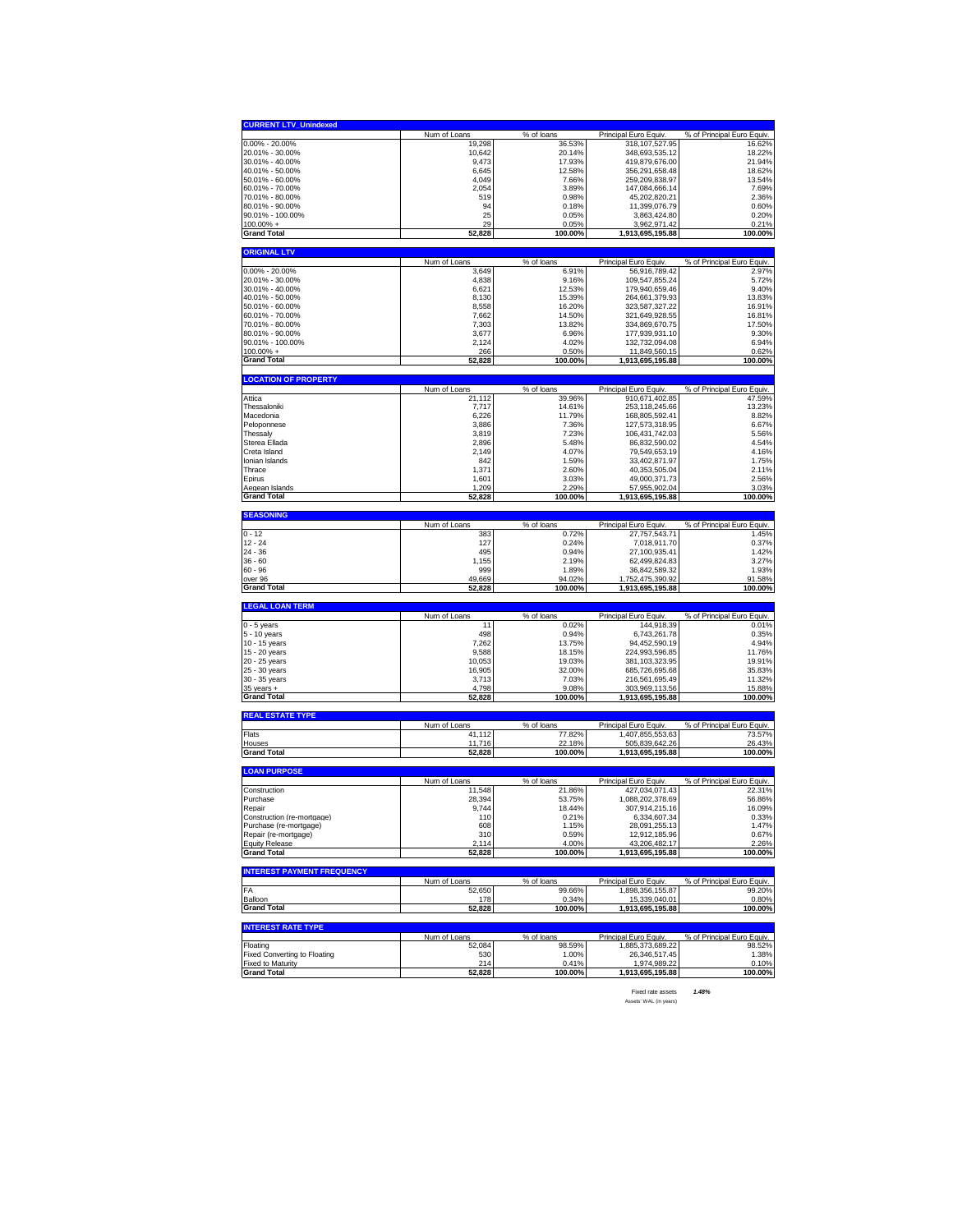| <b>CURRENT LTV_Unindexed</b>                                                                                                                                                                                                                                                                       |                        |                      |                                      |                                      |
|----------------------------------------------------------------------------------------------------------------------------------------------------------------------------------------------------------------------------------------------------------------------------------------------------|------------------------|----------------------|--------------------------------------|--------------------------------------|
|                                                                                                                                                                                                                                                                                                    | Num of Loans           | % of loans           | Principal Euro Equiv.                | % of Principal Euro Equiv.           |
| $0.00\% - 20.00\%$                                                                                                                                                                                                                                                                                 | 19,298                 | 36.53%               | 318, 107, 527. 95                    | 16.62%                               |
| 20.01% - 30.00%                                                                                                                                                                                                                                                                                    | 10,642                 | 20.14%               | 348,693,535.12                       | 18.22%                               |
| 30.01% - 40.00%                                                                                                                                                                                                                                                                                    | 9,473                  | 17.93%               | 419,879,676.00                       | 21.94%                               |
| 40.01% - 50.00%                                                                                                                                                                                                                                                                                    | 6,645                  | 12.58%               | 356,291,658.48                       | 18.62%                               |
| 50.01% - 60.00%<br>60.01% - 70.00%                                                                                                                                                                                                                                                                 | 4,049<br>2,054         | 7.66%                | 259,209,838.97<br>147,084,666.14     | 13.54%                               |
| 70.01% - 80.00%                                                                                                                                                                                                                                                                                    | 519                    | 3.89%<br>0.98%       | 45,202,820.21                        | 7.69%<br>2.36%                       |
| 80.01% - 90.00%                                                                                                                                                                                                                                                                                    | 94                     | 0.18%                | 11,399,076.79                        | 0.60%                                |
| 90.01% - 100.00%                                                                                                                                                                                                                                                                                   | 25                     | 0.05%                | 3,863,424.80                         | 0.20%                                |
| 100.00% +                                                                                                                                                                                                                                                                                          | 29                     | 0.05%                | 3,962,971.42                         | 0.21%                                |
| <b>Grand Total</b>                                                                                                                                                                                                                                                                                 | 52,828                 | 100.00%              | 1,913,695,195.88                     | 100.00%                              |
| <b>ORIGINAL LTV</b>                                                                                                                                                                                                                                                                                |                        |                      |                                      |                                      |
|                                                                                                                                                                                                                                                                                                    | Num of Loans           | % of loans           | Principal Euro Equiv.                | % of Principal Euro Equiv.           |
| $0.00\% - 20.00\%$                                                                                                                                                                                                                                                                                 | 3,649                  | 6.91%                | 56,916,789.42                        | 2.97%                                |
| 20.01% - 30.00%                                                                                                                                                                                                                                                                                    | 4,838                  | 9.16%                | 109,547,855.24                       | 5.72%                                |
| 30.01% - 40.00%                                                                                                                                                                                                                                                                                    | 6,621                  | 12.53%               | 179,940,659.46                       | 9.40%                                |
| 40.01% - 50.00%                                                                                                                                                                                                                                                                                    | 8,130                  | 15.39%               | 264,661,379.93                       | 13.83%                               |
| 50.01% - 60.00%                                                                                                                                                                                                                                                                                    | 8,558                  | 16.20%               | 323,587,327.22                       | 16.91%                               |
| 60.01% - 70.00%                                                                                                                                                                                                                                                                                    | 7,662                  | 14.50%               | 321,649,928.55                       | 16.81%                               |
| 70.01% - 80.00%                                                                                                                                                                                                                                                                                    | 7,303                  | 13.82%               | 334,869,670.75                       | 17.50%                               |
| 80.01% - 90.00%                                                                                                                                                                                                                                                                                    | 3,677                  | 6.96%                | 177,939,931.10                       | 9.30%                                |
| 90.01% - 100.00%<br>100.00% +                                                                                                                                                                                                                                                                      | 2.124<br>266           | 4.02%<br>0.50%       | 132,732,094.08<br>11,849,560.15      | 6.94%<br>0.62%                       |
| <b>Grand Total</b>                                                                                                                                                                                                                                                                                 |                        | 100.00%              |                                      | 100.00%                              |
|                                                                                                                                                                                                                                                                                                    | 52,828                 |                      | 1,913,695,195.88                     |                                      |
| <b>LOCATION OF PROPERTY</b>                                                                                                                                                                                                                                                                        |                        |                      |                                      |                                      |
|                                                                                                                                                                                                                                                                                                    | Num of Loans           | % of loans           | Principal Euro Equiv                 | % of Principal Euro Equiv.           |
| Attica                                                                                                                                                                                                                                                                                             | 21,112                 | 39.96%               | 910,671,402.85                       | 47.59%                               |
| Thessaloniki<br>Macedonia                                                                                                                                                                                                                                                                          | 7,717<br>6,226         | 14.61%               | 253,118,245.66                       | 13.23%<br>8.82%                      |
| Peloponnese                                                                                                                                                                                                                                                                                        | 3,886                  | 11.79%<br>7.36%      | 168,805,592.41<br>127,573,318.95     | 6.67%                                |
| Thessaly                                                                                                                                                                                                                                                                                           | 3,819                  | 7.23%                | 106,431,742.03                       | 5.56%                                |
| Sterea Ellada                                                                                                                                                                                                                                                                                      | 2.896                  | 5.48%                | 86,832,590.02                        | 4.54%                                |
| Creta Island                                                                                                                                                                                                                                                                                       | 2,149                  | 4.07%                | 79,549,653.19                        | 4.16%                                |
| Ionian Islands                                                                                                                                                                                                                                                                                     | 842                    | 1.59%                | 33,402,871.97                        | 1.75%                                |
| Thrace                                                                                                                                                                                                                                                                                             | 1,371                  | 2.60%                | 40,353,505.04                        | 2.11%                                |
| Epirus                                                                                                                                                                                                                                                                                             | 1,601                  | 3.03%                | 49,000,371.73                        | 2.56%                                |
| Aegean Islands                                                                                                                                                                                                                                                                                     | 1,209                  | 2.29%                | 57,955,902.04                        | 3.03%                                |
| <b>Grand Total</b>                                                                                                                                                                                                                                                                                 | 52,828                 | 100.00%              | 1,913,695,195.88                     | 100.00%                              |
| <b>SEASONING</b>                                                                                                                                                                                                                                                                                   |                        |                      |                                      |                                      |
|                                                                                                                                                                                                                                                                                                    | Num of Loans           | % of loans           | Principal Euro Equiv.                | % of Principal Euro Equiv.           |
| $0 - 12$                                                                                                                                                                                                                                                                                           | 383                    | 0.72%                | 27,757,543.71                        | 1.45%                                |
| $12 - 24$                                                                                                                                                                                                                                                                                          | 127                    | 0.24%                | 7,018,911.70                         | 0.37%                                |
| 24 - 36                                                                                                                                                                                                                                                                                            | 495                    | 0.94%                | 27,100,935.41<br>62.499.824.83       | 1.42%                                |
| $36 - 60$                                                                                                                                                                                                                                                                                          | 1,155                  | 2.19%                |                                      | 3.27%<br>1.93%                       |
|                                                                                                                                                                                                                                                                                                    |                        |                      |                                      |                                      |
|                                                                                                                                                                                                                                                                                                    | 999                    | 1.89%                | 36,842,589.32                        |                                      |
|                                                                                                                                                                                                                                                                                                    | 49,669<br>52,828       | 94.02%<br>100.00%    | 1,752,475,390.92<br>1,913,695,195.88 | 91.58%<br>100.00%                    |
|                                                                                                                                                                                                                                                                                                    |                        |                      |                                      |                                      |
|                                                                                                                                                                                                                                                                                                    |                        |                      |                                      |                                      |
|                                                                                                                                                                                                                                                                                                    | Num of Loans<br>11     | % of loans<br>0.02%  | Principal Euro Equiv.<br>144,918.39  | % of Principal Euro Equiv.<br>0.01%  |
|                                                                                                                                                                                                                                                                                                    | 498                    | 0.94%                | 6,743,261.78                         | 0.35%                                |
|                                                                                                                                                                                                                                                                                                    | 7,262                  | 13.75%               | 94,452,590.19                        | 4.94%                                |
|                                                                                                                                                                                                                                                                                                    | 9,588                  | 18.15%               | 224,993,596.85                       | 11.76%                               |
|                                                                                                                                                                                                                                                                                                    | 10,053                 | 19.03%               | 381,103,323.95                       | 19.91%                               |
|                                                                                                                                                                                                                                                                                                    | 16,905                 | 32.00%               | 685,726,695.68                       | 35.83%                               |
|                                                                                                                                                                                                                                                                                                    | 3,713                  | 7.03%                | 216,561,695.49                       | 11.32%                               |
|                                                                                                                                                                                                                                                                                                    | 4,798<br>52,828        | 9.08%<br>100.00%     | 303,969,113.56<br>1,913,695,195.88   | 15.88%<br>100.00%                    |
|                                                                                                                                                                                                                                                                                                    |                        |                      |                                      |                                      |
|                                                                                                                                                                                                                                                                                                    |                        |                      |                                      |                                      |
|                                                                                                                                                                                                                                                                                                    | Num of Loans<br>41,112 | % of loans<br>77.82% | Principal Euro Equiv                 | % of Principal Euro Equiv.<br>73.57% |
|                                                                                                                                                                                                                                                                                                    | 11.716                 | 22.18%               | 1,407,855,553.63<br>505,839,642.26   | 26.43%                               |
| 60 - 96<br>over 96<br><b>Grand Total</b><br><b>LEGAL LOAN TERM</b><br>0 - 5 years<br>5 - 10 years<br>10 - 15 years<br>15 - 20 years<br>20 - 25 years<br>25 - 30 years<br>30 - 35 years<br>$35$ years $+$<br><b>Grand Total</b><br><b>REAL ESTATE TYPE</b><br>Flats<br>Houses<br><b>Grand Total</b> | 52,828                 | 100.00%              | 1,913,695,195.88                     | 100.00%                              |
|                                                                                                                                                                                                                                                                                                    |                        |                      |                                      |                                      |
|                                                                                                                                                                                                                                                                                                    | Num of Loans           | % of loans           | Principal Euro Equiv                 | % of Principal Euro Equiv.           |
|                                                                                                                                                                                                                                                                                                    | 11,548                 | 21.86%               | 427,034,071.43                       | 22.31%                               |
|                                                                                                                                                                                                                                                                                                    | 28.394                 | 53.75%               | 1.088.202.378.69                     | 56.86%                               |
|                                                                                                                                                                                                                                                                                                    | 9,744                  | 18.44%               | 307,914,215.16                       | 16.09%                               |
|                                                                                                                                                                                                                                                                                                    | 11 C                   | 0.21%                | 6,334,607.34                         | 0.33%                                |
|                                                                                                                                                                                                                                                                                                    | 608                    | 1.15%                | 28,091,255.13                        | 1.47%                                |
|                                                                                                                                                                                                                                                                                                    | 310                    | 0.59%                | 12,912,185.96                        | 0.67%                                |
|                                                                                                                                                                                                                                                                                                    | 2,114<br>52,828        | 4.00%<br>100.00%     | 43,206,482.17<br>1,913,695,195.88    | 2.26%<br>100.00%                     |
|                                                                                                                                                                                                                                                                                                    |                        |                      |                                      |                                      |
|                                                                                                                                                                                                                                                                                                    |                        |                      |                                      |                                      |
|                                                                                                                                                                                                                                                                                                    | Num of Loans<br>52.650 | % of loans           | Principal Euro Equiv.                | % of Principal Euro Equiv.           |
|                                                                                                                                                                                                                                                                                                    | 178                    | 99.66%<br>0.34%      | 1,898,356,155.87<br>15,339,040.01    | 99.20%<br>0.80%                      |
| <b>LOAN PURPOSE</b><br>Construction<br>Purchase<br>Repair<br>Construction (re-mortgage)<br>Purchase (re-mortgage)<br>Repair (re-mortgage)<br><b>Equity Release</b><br><b>Grand Total</b><br><b>INTEREST PAYMENT FREQUENCY</b><br>FA<br>Balloon<br><b>Grand Total</b>                               | 52,828                 | 100.00%              | 1,913,695,195.88                     | 100.00%                              |
|                                                                                                                                                                                                                                                                                                    |                        |                      |                                      |                                      |
|                                                                                                                                                                                                                                                                                                    | Num of Loans           | % of loans           | Principal Euro Equiv.                | % of Principal Euro Equiv.           |
|                                                                                                                                                                                                                                                                                                    | 52,084                 | 98.59%               | 1,885,373,689.22                     | 98.52%                               |
| <b>INTEREST RATE TYPE</b><br>Floating<br>Fixed Converting to Floating                                                                                                                                                                                                                              | 530                    | 1.00%                | 26,346,517.45                        | 1.38%                                |
| <b>Fixed to Maturity</b><br><b>Grand Total</b>                                                                                                                                                                                                                                                     | 214<br>52,828          | 0.41%<br>100.00%     | 1,974,989.22<br>1,913,695,195.88     | 0.10%<br>100.00%                     |

Fixed rate assets *1.48%* Assets' WAL (in years)